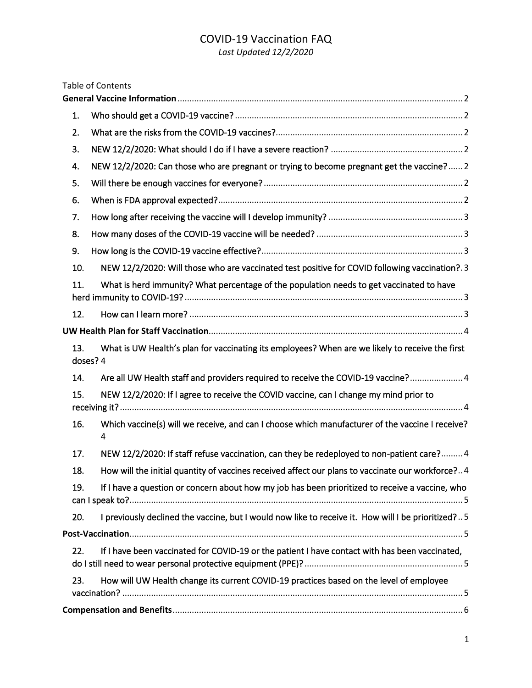# COVID-19 Vaccination FAQ

*Last Updated 12/2/2020*

|     | <b>Table of Contents</b>                                                                                    |
|-----|-------------------------------------------------------------------------------------------------------------|
|     |                                                                                                             |
| 1.  |                                                                                                             |
| 2.  |                                                                                                             |
| 3.  |                                                                                                             |
| 4.  | NEW 12/2/2020: Can those who are pregnant or trying to become pregnant get the vaccine? 2                   |
| 5.  |                                                                                                             |
| 6.  |                                                                                                             |
| 7.  |                                                                                                             |
| 8.  |                                                                                                             |
| 9.  |                                                                                                             |
| 10. | NEW 12/2/2020: Will those who are vaccinated test positive for COVID following vaccination?.3               |
| 11. | What is herd immunity? What percentage of the population needs to get vaccinated to have                    |
| 12. |                                                                                                             |
|     |                                                                                                             |
| 13. | What is UW Health's plan for vaccinating its employees? When are we likely to receive the first<br>doses? 4 |
| 14. | Are all UW Health staff and providers required to receive the COVID-19 vaccine? 4                           |
| 15. | NEW 12/2/2020: If I agree to receive the COVID vaccine, can I change my mind prior to                       |
| 16. | Which vaccine(s) will we receive, and can I choose which manufacturer of the vaccine I receive?<br>4        |
| 17. | NEW 12/2/2020: If staff refuse vaccination, can they be redeployed to non-patient care?4                    |
| 18. | How will the initial quantity of vaccines received affect our plans to vaccinate our workforce?4            |
| 19. | If I have a question or concern about how my job has been prioritized to receive a vaccine, who             |
| 20. | I previously declined the vaccine, but I would now like to receive it. How will I be prioritized?5          |
|     |                                                                                                             |
| 22. | If I have been vaccinated for COVID-19 or the patient I have contact with has been vaccinated,              |
| 23. | How will UW Health change its current COVID-19 practices based on the level of employee                     |
|     |                                                                                                             |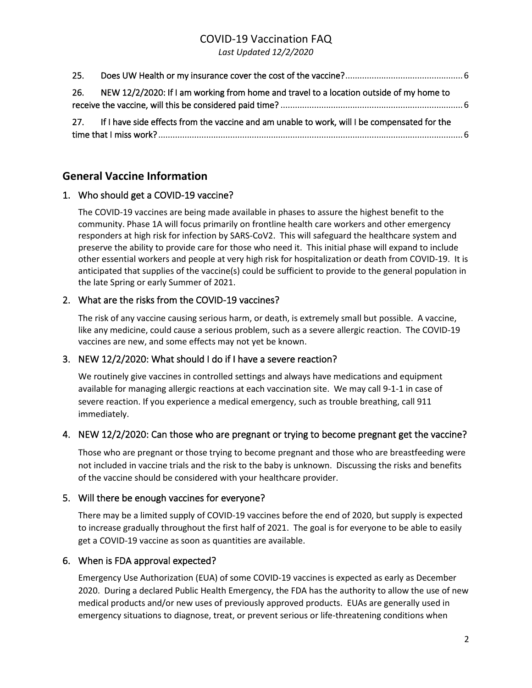# COVID-19 Vaccination FAQ

*Last Updated 12/2/2020*

| 25.                                                                                              |  |
|--------------------------------------------------------------------------------------------------|--|
| 26.<br>NEW 12/2/2020: If I am working from home and travel to a location outside of my home to   |  |
| 27. If I have side effects from the vaccine and am unable to work, will I be compensated for the |  |

# <span id="page-1-0"></span>**General Vaccine Information**

## <span id="page-1-1"></span>1. Who should get a COVID-19 vaccine?

The COVID-19 vaccines are being made available in phases to assure the highest benefit to the community. Phase 1A will focus primarily on frontline health care workers and other emergency responders at high risk for infection by SARS-CoV2. This will safeguard the healthcare system and preserve the ability to provide care for those who need it. This initial phase will expand to include other essential workers and people at very high risk for hospitalization or death from COVID-19. It is anticipated that supplies of the vaccine(s) could be sufficient to provide to the general population in the late Spring or early Summer of 2021.

# <span id="page-1-2"></span>2. What are the risks from the COVID-19 vaccines?

The risk of any vaccine causing serious harm, or death, is extremely small but possible. A vaccine, like any medicine, could cause a serious problem, such as a severe allergic reaction. The COVID-19 vaccines are new, and some effects may not yet be known.

## <span id="page-1-3"></span>3. NEW 12/2/2020: What should I do if I have a severe reaction?

We routinely give vaccines in controlled settings and always have medications and equipment available for managing allergic reactions at each vaccination site. We may call 9-1-1 in case of severe reaction. If you experience a medical emergency, such as trouble breathing, call 911 immediately.

## <span id="page-1-4"></span>4. NEW 12/2/2020: Can those who are pregnant or trying to become pregnant get the vaccine?

Those who are pregnant or those trying to become pregnant and those who are breastfeeding were not included in vaccine trials and the risk to the baby is unknown. Discussing the risks and benefits of the vaccine should be considered with your healthcare provider.

## <span id="page-1-5"></span>5. Will there be enough vaccines for everyone?

There may be a limited supply of COVID-19 vaccines before the end of 2020, but supply is expected to increase gradually throughout the first half of 2021. The goal is for everyone to be able to easily get a COVID-19 vaccine as soon as quantities are available.

## <span id="page-1-6"></span>6. When is FDA approval expected?

Emergency Use Authorization (EUA) of some COVID-19 vaccines is expected as early as December 2020. During a declared Public Health Emergency, the FDA has the authority to allow the use of new medical products and/or new uses of previously approved products. EUAs are generally used in emergency situations to diagnose, treat, or prevent serious or life-threatening conditions when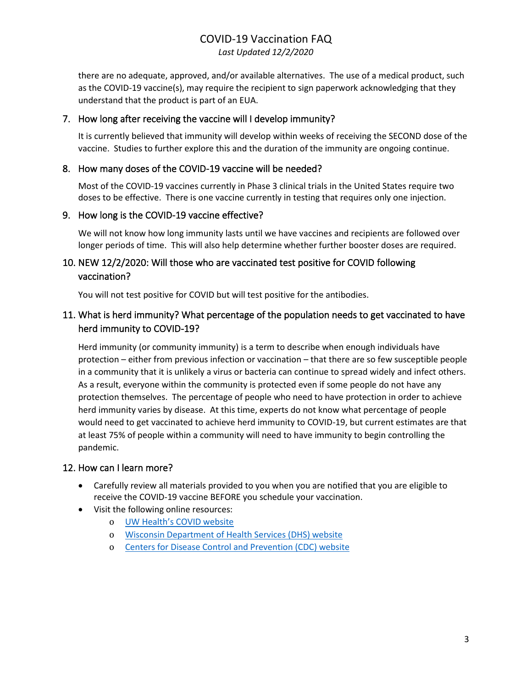# COVID-19 Vaccination FAQ *Last Updated 12/2/2020*

there are no adequate, approved, and/or available alternatives. The use of a medical product, such as the COVID-19 vaccine(s), may require the recipient to sign paperwork acknowledging that they understand that the product is part of an EUA.

#### <span id="page-2-0"></span>7. How long after receiving the vaccine will I develop immunity?

It is currently believed that immunity will develop within weeks of receiving the SECOND dose of the vaccine. Studies to further explore this and the duration of the immunity are ongoing continue.

#### <span id="page-2-1"></span>8. How many doses of the COVID-19 vaccine will be needed?

Most of the COVID-19 vaccines currently in Phase 3 clinical trials in the United States require two doses to be effective. There is one vaccine currently in testing that requires only one injection.

#### <span id="page-2-2"></span>9. How long is the COVID-19 vaccine effective?

We will not know how long immunity lasts until we have vaccines and recipients are followed over longer periods of time. This will also help determine whether further booster doses are required.

# <span id="page-2-3"></span>10. NEW 12/2/2020: Will those who are vaccinated test positive for COVID following vaccination?

You will not test positive for COVID but will test positive for the antibodies.

# <span id="page-2-4"></span>11. What is herd immunity? What percentage of the population needs to get vaccinated to have herd immunity to COVID-19?

Herd immunity (or community immunity) is a term to describe when enough individuals have protection – either from previous infection or vaccination – that there are so few susceptible people in a community that it is unlikely a virus or bacteria can continue to spread widely and infect others. As a result, everyone within the community is protected even if some people do not have any protection themselves. The percentage of people who need to have protection in order to achieve herd immunity varies by disease. At this time, experts do not know what percentage of people would need to get vaccinated to achieve herd immunity to COVID-19, but current estimates are that at least 75% of people within a community will need to have immunity to begin controlling the pandemic.

#### <span id="page-2-5"></span>12. How can I learn more?

- Carefully review all materials provided to you when you are notified that you are eligible to receive the COVID-19 vaccine BEFORE you schedule your vaccination.
- Visit the following online resources:
	- o UW [Health's COVID website](https://coronavirus.uwhealth.org/covid-19-vaccine-frequently-asked-questions/)
	- o [Wisconsin Department of Health Services \(DHS\) website](https://www.dhs.wisconsin.gov/covid-19/vaccine.htm)
	- o Centers for Disease Control [and Prevention \(CDC\) website](https://www.cdc.gov/coronavirus/2019-ncov/vaccines/index.html)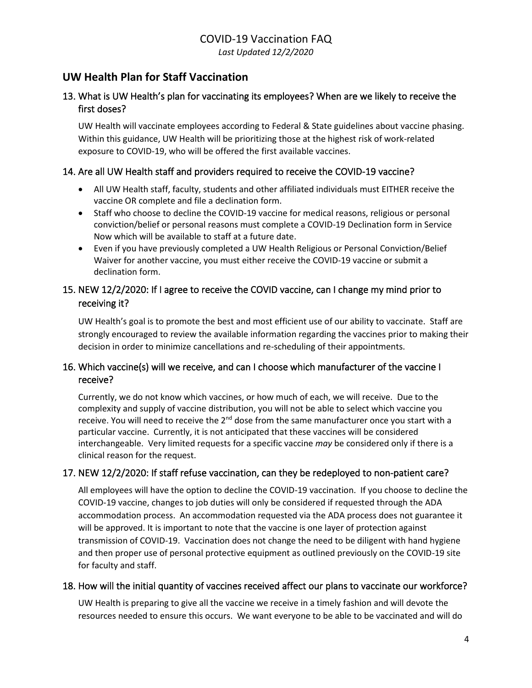# <span id="page-3-0"></span>**UW Health Plan for Staff Vaccination**

# <span id="page-3-1"></span>13. What is UW Health's plan for vaccinating its employees? When are we likely to receive the first doses?

UW Health will vaccinate employees according to Federal & State guidelines about vaccine phasing. Within this guidance, UW Health will be prioritizing those at the highest risk of work-related exposure to COVID-19, who will be offered the first available vaccines.

#### <span id="page-3-2"></span>14. Are all UW Health staff and providers required to receive the COVID-19 vaccine?

- All UW Health staff, faculty, students and other affiliated individuals must EITHER receive the vaccine OR complete and file a declination form.
- Staff who choose to decline the COVID-19 vaccine for medical reasons, religious or personal conviction/belief or personal reasons must complete a COVID-19 Declination form in Service Now which will be available to staff at a future date.
- Even if you have previously completed a UW Health Religious or Personal Conviction/Belief Waiver for another vaccine, you must either receive the COVID-19 vaccine or submit a declination form.

# <span id="page-3-3"></span>15. NEW 12/2/2020: If I agree to receive the COVID vaccine, can I change my mind prior to receiving it?

UW Health's goal is to promote the best and most efficient use of our ability to vaccinate. Staff are strongly encouraged to review the available information regarding the vaccines prior to making their decision in order to minimize cancellations and re-scheduling of their appointments.

# <span id="page-3-4"></span>16. Which vaccine(s) will we receive, and can I choose which manufacturer of the vaccine I receive?

Currently, we do not know which vaccines, or how much of each, we will receive. Due to the complexity and supply of vaccine distribution, you will not be able to select which vaccine you receive. You will need to receive the 2<sup>nd</sup> dose from the same manufacturer once you start with a particular vaccine. Currently, it is not anticipated that these vaccines will be considered interchangeable. Very limited requests for a specific vaccine *may* be considered only if there is a clinical reason for the request.

## <span id="page-3-5"></span>17. NEW 12/2/2020: If staff refuse vaccination, can they be redeployed to non-patient care?

All employees will have the option to decline the COVID-19 vaccination. If you choose to decline the COVID-19 vaccine, changes to job duties will only be considered if requested through the ADA accommodation process. An accommodation requested via the ADA process does not guarantee it will be approved. It is important to note that the vaccine is one layer of protection against transmission of COVID-19. Vaccination does not change the need to be diligent with hand hygiene and then proper use of personal protective equipment as outlined previously on the COVID-19 site for faculty and staff.

#### <span id="page-3-6"></span>18. How will the initial quantity of vaccines received affect our plans to vaccinate our workforce?

UW Health is preparing to give all the vaccine we receive in a timely fashion and will devote the resources needed to ensure this occurs. We want everyone to be able to be vaccinated and will do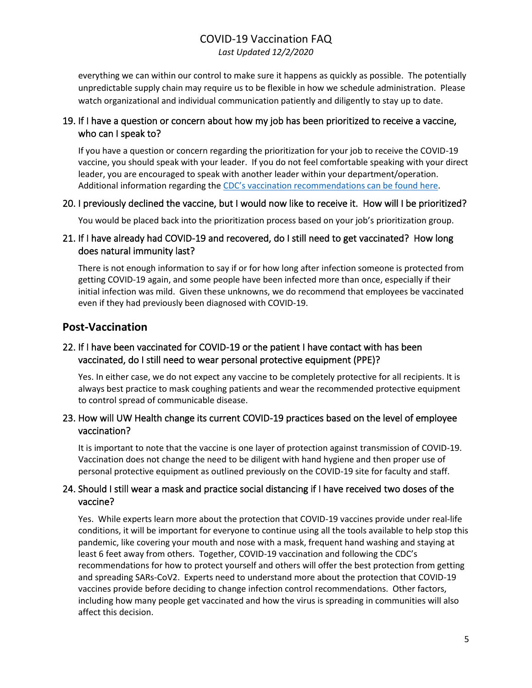# COVID-19 Vaccination FAQ *Last Updated 12/2/2020*

everything we can within our control to make sure it happens as quickly as possible. The potentially unpredictable supply chain may require us to be flexible in how we schedule administration. Please watch organizational and individual communication patiently and diligently to stay up to date.

## <span id="page-4-0"></span>19. If I have a question or concern about how my job has been prioritized to receive a vaccine, who can I speak to?

If you have a question or concern regarding the prioritization for your job to receive the COVID-19 vaccine, you should speak with your leader. If you do not feel comfortable speaking with your direct leader, you are encouraged to speak with another leader within your department/operation. Additional information regarding the [CDC's vaccination recommendations can be found here](https://www.cdc.gov/coronavirus/2019-ncov/vaccines/recommendations-process.html).

#### <span id="page-4-1"></span>20. I previously declined the vaccine, but I would now like to receive it. How will I be prioritized?

You would be placed back into the prioritization process based on your job's prioritization group.

# 21. If I have already had COVID-19 and recovered, do I still need to get vaccinated? How long does natural immunity last?

There is not enough information to say if or for how long after infection someone is protected from getting COVID-19 again, and some people have been infected more than once, especially if their initial infection was mild. Given these unknowns, we do recommend that employees be vaccinated even if they had previously been diagnosed with COVID-19.

# <span id="page-4-2"></span>**Post-Vaccination**

# <span id="page-4-3"></span>22. If I have been vaccinated for COVID-19 or the patient I have contact with has been vaccinated, do I still need to wear personal protective equipment (PPE)?

Yes. In either case, we do not expect any vaccine to be completely protective for all recipients. It is always best practice to mask coughing patients and wear the recommended protective equipment to control spread of communicable disease.

#### <span id="page-4-4"></span>23. How will UW Health change its current COVID-19 practices based on the level of employee vaccination?

It is important to note that the vaccine is one layer of protection against transmission of COVID-19. Vaccination does not change the need to be diligent with hand hygiene and then proper use of personal protective equipment as outlined previously on the COVID-19 site for faculty and staff.

## 24. Should I still wear a mask and practice social distancing if I have received two doses of the vaccine?

Yes. While experts learn more about the protection that COVID-19 vaccines provide under real-life conditions, it will be important for everyone to continue using all the tools available to help stop this pandemic, like covering your mouth and nose with a mask, frequent hand washing and staying at least 6 feet away from others. Together, COVID-19 vaccination and following the CDC's recommendations for how to protect yourself and others will offer the best protection from getting and spreading SARs-CoV2. Experts need to understand more about the protection that COVID-19 vaccines provide before deciding to change infection control recommendations. Other factors, including how many people get vaccinated and how the virus is spreading in communities will also affect this decision.